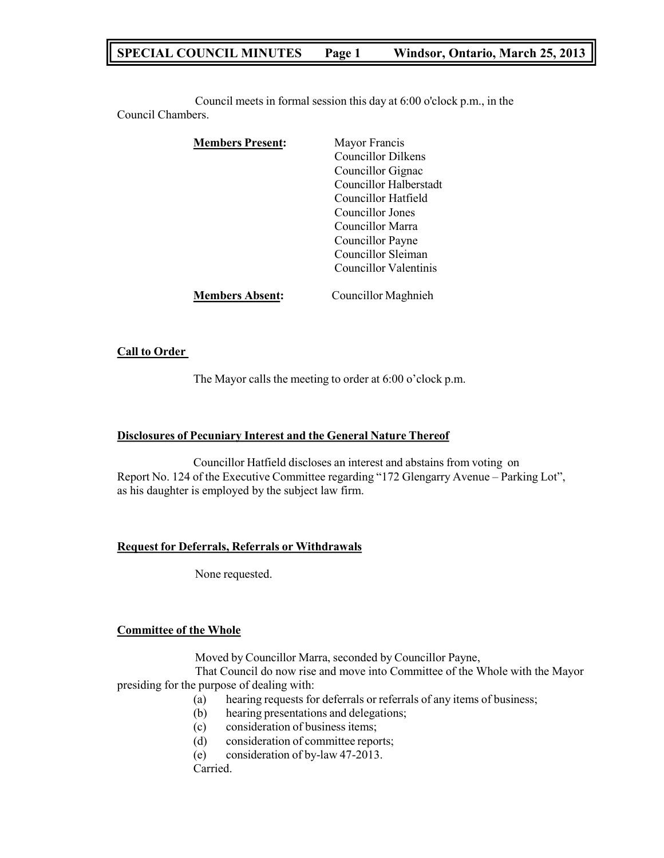# **SPECIAL COUNCIL MINUTES Page 1 Windsor, Ontario, March 25, 2013**

Council meets in formal session this day at 6:00 o'clock p.m., in the Council Chambers.

| <b>Members Present:</b> | Mayor Francis<br><b>Councillor Dilkens</b><br>Councillor Gignac<br>Councillor Halberstadt<br>Councillor Hatfield<br>Councillor Jones<br>Councillor Marra<br>Councillor Payne |
|-------------------------|------------------------------------------------------------------------------------------------------------------------------------------------------------------------------|
|                         | Councillor Sleiman<br>Councillor Valentinis                                                                                                                                  |
| <b>Members Absent:</b>  | Councillor Maghnieh                                                                                                                                                          |

#### **Call to Order**

The Mayor calls the meeting to order at 6:00 o'clock p.m.

#### **Disclosures of Pecuniary Interest and the General Nature Thereof**

Councillor Hatfield discloses an interest and abstains from voting on Report No. 124 of the Executive Committee regarding "172 Glengarry Avenue – Parking Lot", as his daughter is employed by the subject law firm.

#### **Request for Deferrals, Referrals or Withdrawals**

None requested.

#### **Committee of the Whole**

Moved by Councillor Marra, seconded by Councillor Payne,

That Council do now rise and move into Committee of the Whole with the Mayor presiding for the purpose of dealing with:

- (a) hearing requests for deferrals or referrals of any items of business;
- (b) hearing presentations and delegations;
- (c) consideration of business items;
- (d) consideration of committee reports;
- (e) consideration of by-law 47-2013.

Carried.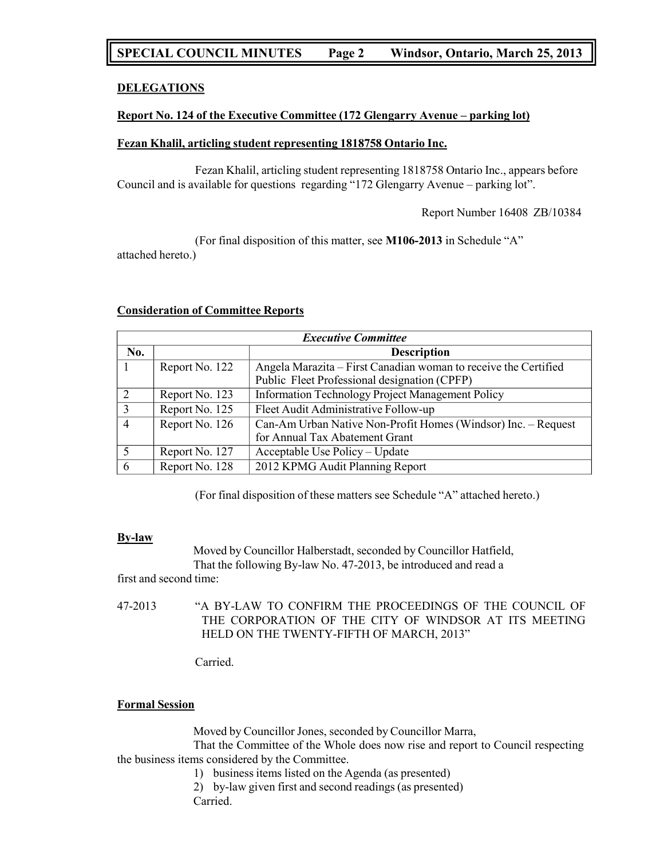# **SPECIAL COUNCIL MINUTES Page 2 Windsor, Ontario, March 25, 2013**

#### **DELEGATIONS**

#### **Report No. 124 of the Executive Committee (172 Glengarry Avenue – parking lot)**

#### **Fezan Khalil, articling student representing 1818758 Ontario Inc.**

Fezan Khalil, articling student representing 1818758 Ontario Inc., appears before Council and is available for questions regarding "172 Glengarry Avenue – parking lot".

Report Number 16408 ZB/10384

(For final disposition of this matter, see **M106-2013** in Schedule "A" attached hereto.)

| <b>Executive Committee</b> |                |                                                                 |
|----------------------------|----------------|-----------------------------------------------------------------|
| No.                        |                | <b>Description</b>                                              |
|                            | Report No. 122 | Angela Marazita - First Canadian woman to receive the Certified |
|                            |                | Public Fleet Professional designation (CPFP)                    |
| $\mathcal{D}$              | Report No. 123 | <b>Information Technology Project Management Policy</b>         |
| 3                          | Report No. 125 | Fleet Audit Administrative Follow-up                            |
| 4                          | Report No. 126 | Can-Am Urban Native Non-Profit Homes (Windsor) Inc. - Request   |
|                            |                | for Annual Tax Abatement Grant                                  |
|                            | Report No. 127 | Acceptable Use Policy – Update                                  |
| 6                          | Report No. 128 | 2012 KPMG Audit Planning Report                                 |

#### **Consideration of Committee Reports**

(For final disposition of these matters see Schedule "A" attached hereto.)

#### **By-law**

Moved by Councillor Halberstadt, seconded by Councillor Hatfield, That the following By-law No. 47-2013, be introduced and read a

first and second time:

47-2013 "A BY-LAW TO CONFIRM THE PROCEEDINGS OF THE COUNCIL OF THE CORPORATION OF THE CITY OF WINDSOR AT ITS MEETING HELD ON THE TWENTY-FIFTH OF MARCH, 2013"

Carried.

#### **Formal Session**

Moved by Councillor Jones, seconded by Councillor Marra,

That the Committee of the Whole does now rise and report to Council respecting the business items considered by the Committee.

1) business items listed on the Agenda (as presented)

2) by-law given first and second readings (as presented) Carried.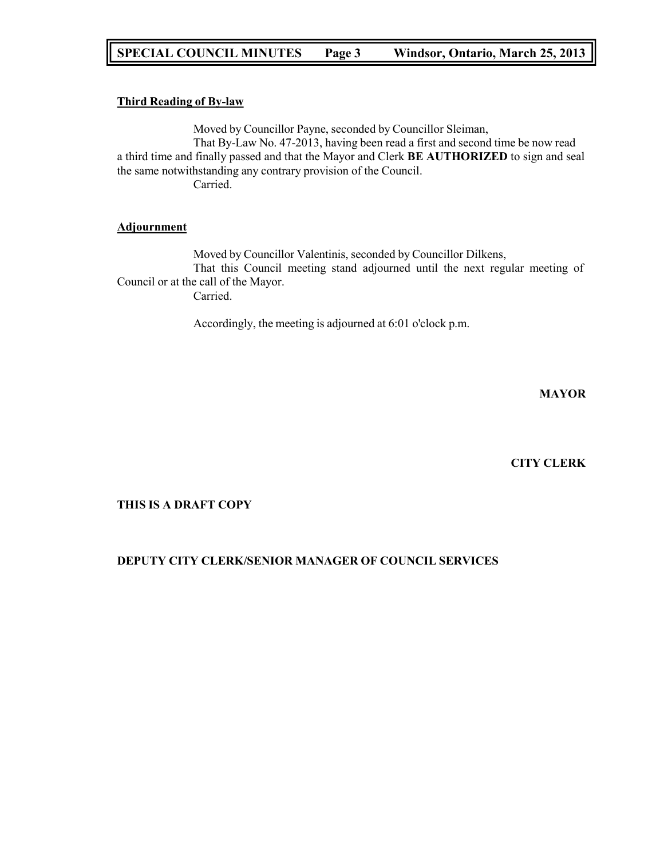# **SPECIAL COUNCIL MINUTES Page 3 Windsor, Ontario, March 25, 2013**

#### **Third Reading of By-law**

Moved by Councillor Payne, seconded by Councillor Sleiman, That By-Law No. 47-2013, having been read a first and second time be now read a third time and finally passed and that the Mayor and Clerk **BE AUTHORIZED** to sign and seal the same notwithstanding any contrary provision of the Council. Carried.

### **Adjournment**

Moved by Councillor Valentinis, seconded by Councillor Dilkens, That this Council meeting stand adjourned until the next regular meeting of Council or at the call of the Mayor.

Carried.

Accordingly, the meeting is adjourned at 6:01 o'clock p.m.

**MAYOR**

### **CITY CLERK**

### **THIS IS A DRAFT COPY**

### **DEPUTY CITY CLERK/SENIOR MANAGER OF COUNCIL SERVICES**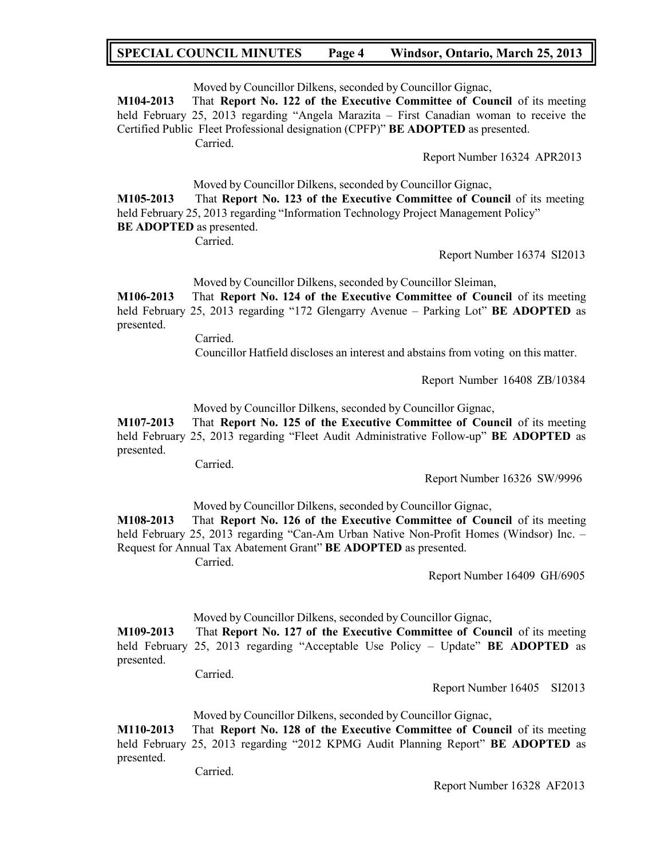## **SPECIAL COUNCIL MINUTES Page 4 Windsor, Ontario, March 25, 2013**

Moved by Councillor Dilkens, seconded by Councillor Gignac,

**M104-2013** That **Report No. 122 of the Executive Committee of Council** of its meeting held February 25, 2013 regarding "Angela Marazita – First Canadian woman to receive the Certified Public Fleet Professional designation (CPFP)" **BE ADOPTED** as presented. Carried.

Report Number 16324 APR2013

Moved by Councillor Dilkens, seconded by Councillor Gignac,

**M105-2013** That **Report No. 123 of the Executive Committee of Council** of its meeting held February 25, 2013 regarding "Information Technology Project Management Policy" **BE ADOPTED** as presented.

Carried.

Report Number 16374 SI2013

Moved by Councillor Dilkens, seconded by Councillor Sleiman,

**M106-2013** That **Report No. 124 of the Executive Committee of Council** of its meeting held February 25, 2013 regarding "172 Glengarry Avenue – Parking Lot" **BE ADOPTED** as presented.

Carried.

Councillor Hatfield discloses an interest and abstains from voting on this matter.

Report Number 16408 ZB/10384

Moved by Councillor Dilkens, seconded by Councillor Gignac,

**M107-2013** That **Report No. 125 of the Executive Committee of Council** of its meeting held February 25, 2013 regarding "Fleet Audit Administrative Follow-up" **BE ADOPTED** as presented.

Carried.

Report Number 16326 SW/9996

Moved by Councillor Dilkens, seconded by Councillor Gignac,

**M108-2013** That **Report No. 126 of the Executive Committee of Council** of its meeting held February 25, 2013 regarding "Can-Am Urban Native Non-Profit Homes (Windsor) Inc. – Request for Annual Tax Abatement Grant" **BE ADOPTED** as presented.

Carried.

Report Number 16409 GH/6905

Moved by Councillor Dilkens, seconded by Councillor Gignac,

**M109-2013** That **Report No. 127 of the Executive Committee of Council** of its meeting held February 25, 2013 regarding "Acceptable Use Policy – Update" **BE ADOPTED** as presented.

Carried.

Report Number 16405 SI2013

Moved by Councillor Dilkens, seconded by Councillor Gignac,

**M110-2013** That **Report No. 128 of the Executive Committee of Council** of its meeting held February 25, 2013 regarding "2012 KPMG Audit Planning Report" **BE ADOPTED** as presented.

Carried.

Report Number 16328 AF2013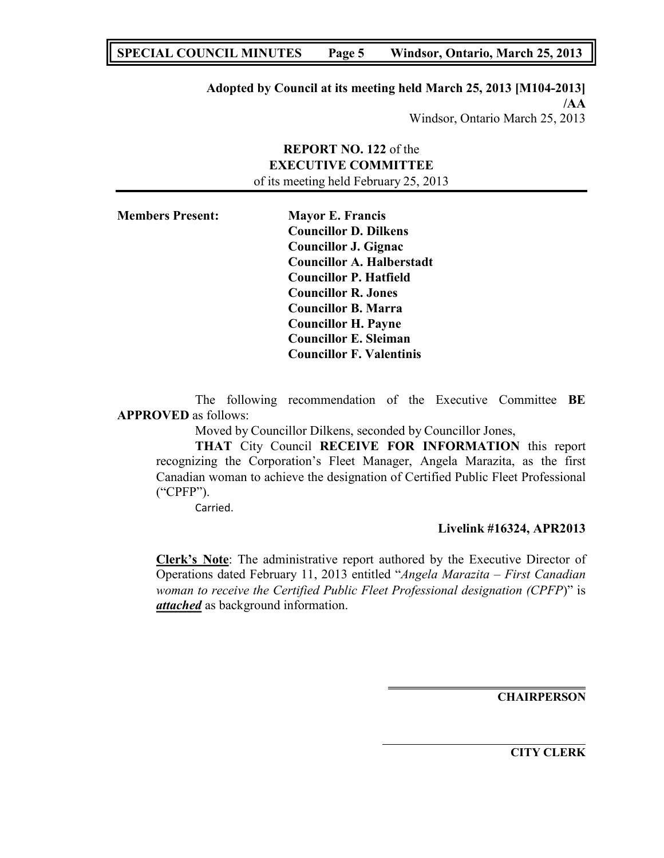# **SPECIAL COUNCIL MINUTES Page 5 Windsor, Ontario, March 25, 2013**

## **Adopted by Council at its meeting held March 25, 2013 [M104-2013] /AA** Windsor, Ontario March 25, 2013

## **REPORT NO. 122** of the **EXECUTIVE COMMITTEE** of its meeting held February 25, 2013

| <b>Members Present:</b> | <b>Mayor E. Francis</b>          |
|-------------------------|----------------------------------|
|                         | <b>Councillor D. Dilkens</b>     |
|                         | <b>Councillor J. Gignac</b>      |
|                         | <b>Councillor A. Halberstadt</b> |
|                         | <b>Councillor P. Hatfield</b>    |
|                         | <b>Councillor R. Jones</b>       |
|                         | <b>Councillor B. Marra</b>       |
|                         | <b>Councillor H. Payne</b>       |
|                         | <b>Councillor E. Sleiman</b>     |
|                         | <b>Councillor F. Valentinis</b>  |

The following recommendation of the Executive Committee **BE APPROVED** as follows:

Moved by Councillor Dilkens, seconded by Councillor Jones,

**THAT** City Council **RECEIVE FOR INFORMATION** this report recognizing the Corporation's Fleet Manager, Angela Marazita, as the first Canadian woman to achieve the designation of Certified Public Fleet Professional ("CPFP").

Carried.

### **Livelink #16324, APR2013**

**Clerk's Note**: The administrative report authored by the Executive Director of Operations dated February 11, 2013 entitled "*Angela Marazita – First Canadian woman to receive the Certified Public Fleet Professional designation (CPFP*)" is *attached* as background information.

**CHAIRPERSON**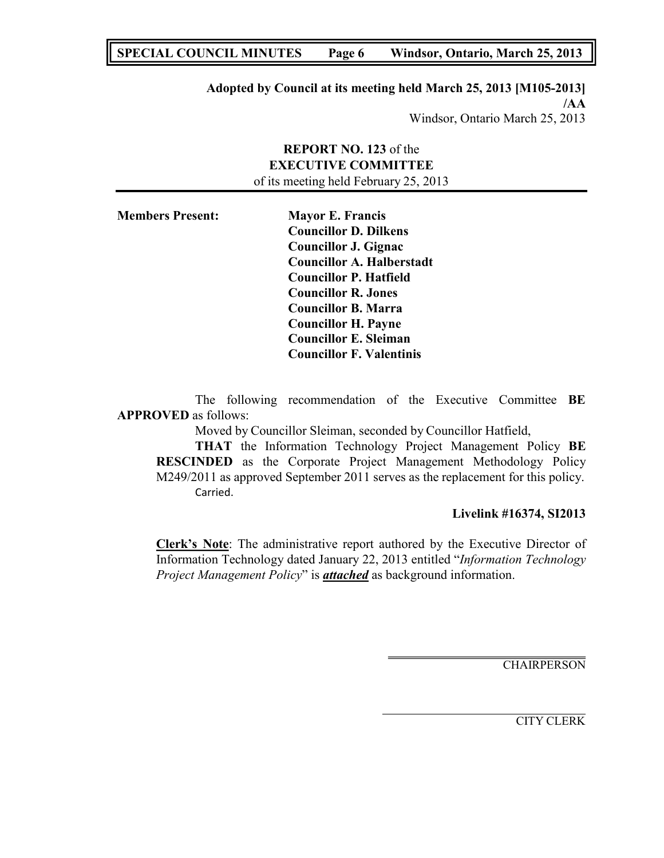# **SPECIAL COUNCIL MINUTES Page 6 Windsor, Ontario, March 25, 2013**

## **Adopted by Council at its meeting held March 25, 2013 [M105-2013] /AA** Windsor, Ontario March 25, 2013

# **REPORT NO. 123** of the **EXECUTIVE COMMITTEE** of its meeting held February 25, 2013

| <b>Members Present:</b> | <b>Mayor E. Francis</b>          |
|-------------------------|----------------------------------|
|                         | <b>Councillor D. Dilkens</b>     |
|                         | <b>Councillor J. Gignac</b>      |
|                         | <b>Councillor A. Halberstadt</b> |
|                         | <b>Councillor P. Hatfield</b>    |
|                         | <b>Councillor R. Jones</b>       |
|                         | <b>Councillor B. Marra</b>       |
|                         | <b>Councillor H. Payne</b>       |
|                         | <b>Councillor E. Sleiman</b>     |
|                         | <b>Councillor F. Valentinis</b>  |

The following recommendation of the Executive Committee **BE APPROVED** as follows:

Moved by Councillor Sleiman, seconded by Councillor Hatfield,

**THAT** the Information Technology Project Management Policy **BE RESCINDED** as the Corporate Project Management Methodology Policy M249/2011 as approved September 2011 serves as the replacement for this policy. Carried.

### **Livelink #16374, SI2013**

**Clerk's Note**: The administrative report authored by the Executive Director of Information Technology dated January 22, 2013 entitled "*Information Technology Project Management Policy*" is *attached* as background information.

**CHAIRPERSON**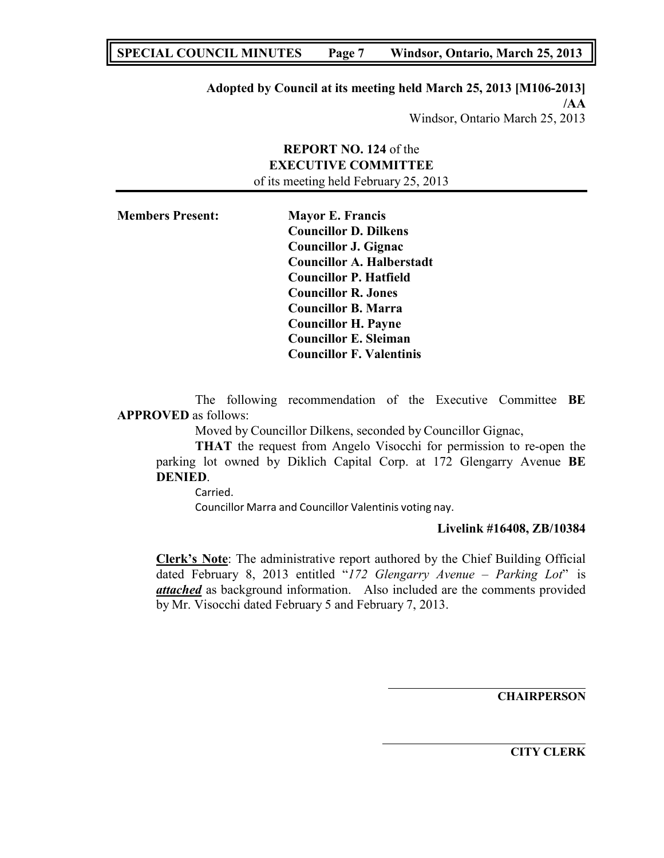# **SPECIAL COUNCIL MINUTES Page 7 Windsor, Ontario, March 25, 2013**

## **Adopted by Council at its meeting held March 25, 2013 [M106-2013] /AA** Windsor, Ontario March 25, 2013

# **REPORT NO. 124** of the **EXECUTIVE COMMITTEE** of its meeting held February 25, 2013

| <b>Members Present:</b> | <b>Mayor E. Francis</b>          |
|-------------------------|----------------------------------|
|                         | <b>Councillor D. Dilkens</b>     |
|                         | Councillor J. Gignac             |
|                         | <b>Councillor A. Halberstadt</b> |
|                         | <b>Councillor P. Hatfield</b>    |
|                         | <b>Councillor R. Jones</b>       |
|                         | <b>Councillor B. Marra</b>       |
|                         | <b>Councillor H. Payne</b>       |
|                         | <b>Councillor E. Sleiman</b>     |
|                         | <b>Councillor F. Valentinis</b>  |

The following recommendation of the Executive Committee **BE APPROVED** as follows:

Moved by Councillor Dilkens, seconded by Councillor Gignac,

**THAT** the request from Angelo Visocchi for permission to re-open the parking lot owned by Diklich Capital Corp. at 172 Glengarry Avenue **BE DENIED**.

### Carried.

Councillor Marra and Councillor Valentinis voting nay.

### **Livelink #16408, ZB/10384**

**Clerk's Note**: The administrative report authored by the Chief Building Official dated February 8, 2013 entitled "*172 Glengarry Avenue – Parking Lot*" is *attached* as background information. Also included are the comments provided by Mr. Visocchi dated February 5 and February 7, 2013.

**CHAIRPERSON**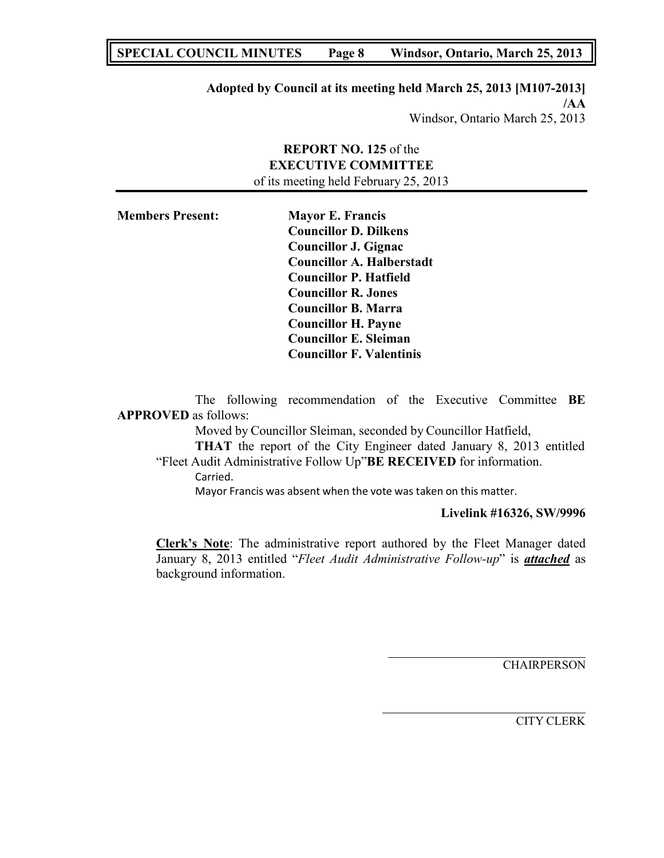# **SPECIAL COUNCIL MINUTES Page 8 Windsor, Ontario, March 25, 2013**

## **Adopted by Council at its meeting held March 25, 2013 [M107-2013] /AA** Windsor, Ontario March 25, 2013

# **REPORT NO. 125** of the **EXECUTIVE COMMITTEE** of its meeting held February 25, 2013

| <b>Members Present:</b> | <b>Mayor E. Francis</b>          |
|-------------------------|----------------------------------|
|                         | <b>Councillor D. Dilkens</b>     |
|                         | <b>Councillor J. Gignac</b>      |
|                         | <b>Councillor A. Halberstadt</b> |
|                         | <b>Councillor P. Hatfield</b>    |
|                         | <b>Councillor R. Jones</b>       |
|                         | <b>Councillor B. Marra</b>       |
|                         | <b>Councillor H. Payne</b>       |
|                         | <b>Councillor E. Sleiman</b>     |
|                         | <b>Councillor F. Valentinis</b>  |

The following recommendation of the Executive Committee **BE APPROVED** as follows:

Moved by Councillor Sleiman, seconded by Councillor Hatfield,

**THAT** the report of the City Engineer dated January 8, 2013 entitled "Fleet Audit Administrative Follow Up"**BE RECEIVED** for information.

Carried.

Mayor Francis was absent when the vote was taken on this matter.

### **Livelink #16326, SW/9996**

**Clerk's Note**: The administrative report authored by the Fleet Manager dated January 8, 2013 entitled "*Fleet Audit Administrative Follow-up*" is *attached* as background information.

**CHAIRPERSON**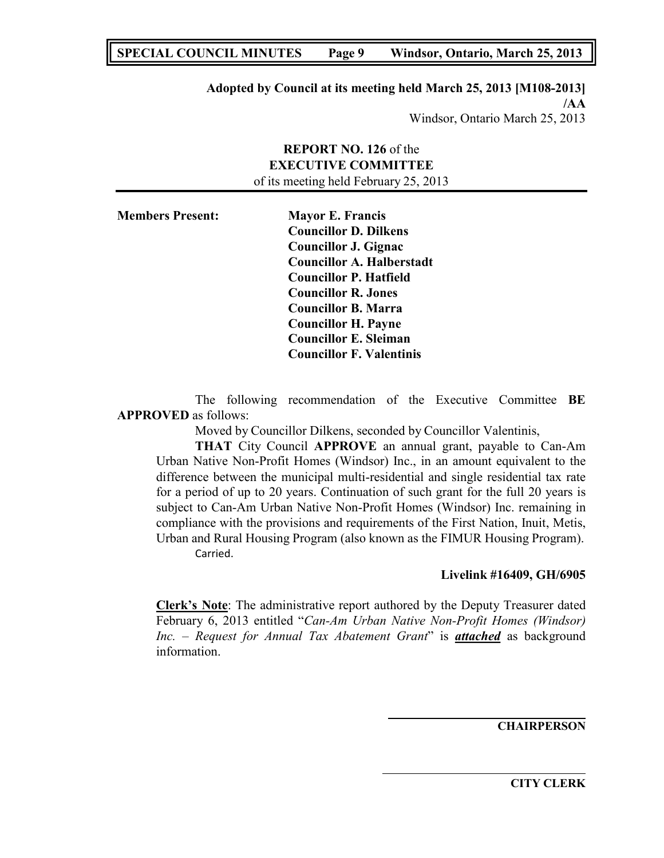## **SPECIAL COUNCIL MINUTES Page 9 Windsor, Ontario, March 25, 2013**

### **Adopted by Council at its meeting held March 25, 2013 [M108-2013] /AA** Windsor, Ontario March 25, 2013

## **REPORT NO. 126** of the **EXECUTIVE COMMITTEE** of its meeting held February 25, 2013

| <b>Members Present:</b> | <b>Mayor E. Francis</b>          |
|-------------------------|----------------------------------|
|                         | <b>Councillor D. Dilkens</b>     |
|                         | <b>Councillor J. Gignac</b>      |
|                         | <b>Councillor A. Halberstadt</b> |
|                         | <b>Councillor P. Hatfield</b>    |
|                         | <b>Councillor R. Jones</b>       |
|                         | <b>Councillor B. Marra</b>       |
|                         | <b>Councillor H. Payne</b>       |
|                         | <b>Councillor E. Sleiman</b>     |
|                         | <b>Councillor F. Valentinis</b>  |

The following recommendation of the Executive Committee **BE APPROVED** as follows:

Moved by Councillor Dilkens, seconded by Councillor Valentinis,

**THAT** City Council **APPROVE** an annual grant, payable to Can-Am Urban Native Non-Profit Homes (Windsor) Inc., in an amount equivalent to the difference between the municipal multi-residential and single residential tax rate for a period of up to 20 years. Continuation of such grant for the full 20 years is subject to Can-Am Urban Native Non-Profit Homes (Windsor) Inc. remaining in compliance with the provisions and requirements of the First Nation, Inuit, Metis, Urban and Rural Housing Program (also known as the FIMUR Housing Program). Carried.

### **Livelink #16409, GH/6905**

**Clerk's Note**: The administrative report authored by the Deputy Treasurer dated February 6, 2013 entitled "*Can-Am Urban Native Non-Profit Homes (Windsor) Inc. – Request for Annual Tax Abatement Grant*" is *attached* as background information.

**CHAIRPERSON**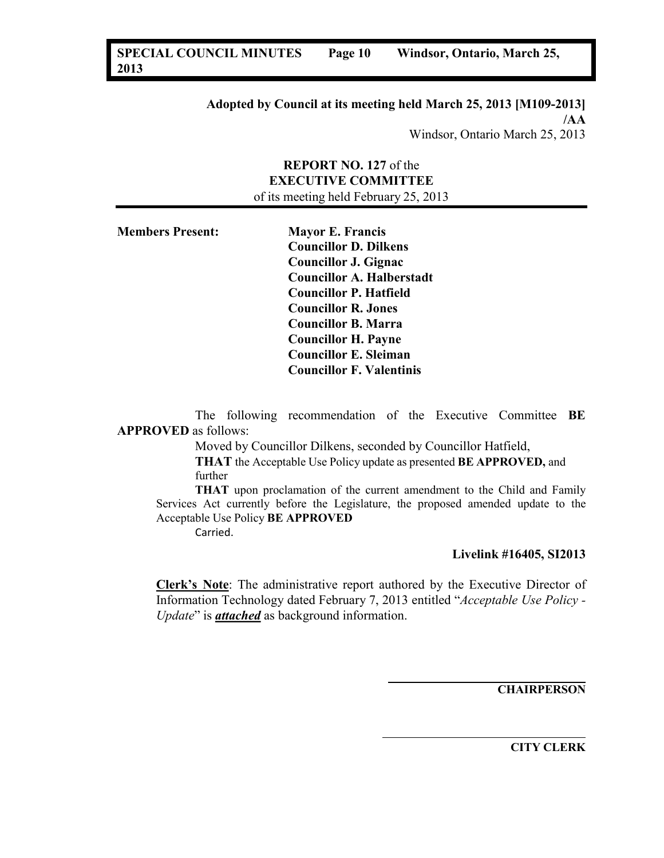### **Adopted by Council at its meeting held March 25, 2013 [M109-2013] /AA** Windsor, Ontario March 25, 2013

## **REPORT NO. 127** of the **EXECUTIVE COMMITTEE** of its meeting held February 25, 2013

| <b>Members Present:</b> | <b>Mayor E. Francis</b>          |
|-------------------------|----------------------------------|
|                         | <b>Councillor D. Dilkens</b>     |
|                         | <b>Councillor J. Gignac</b>      |
|                         | <b>Councillor A. Halberstadt</b> |
|                         | <b>Councillor P. Hatfield</b>    |
|                         | <b>Councillor R. Jones</b>       |
|                         | <b>Councillor B. Marra</b>       |
|                         | <b>Councillor H. Payne</b>       |
|                         | <b>Councillor E. Sleiman</b>     |
|                         | <b>Councillor F. Valentinis</b>  |
|                         |                                  |

The following recommendation of the Executive Committee **BE APPROVED** as follows:

Moved by Councillor Dilkens, seconded by Councillor Hatfield,

**THAT** the Acceptable Use Policy update as presented **BE APPROVED,** and further

**THAT** upon proclamation of the current amendment to the Child and Family Services Act currently before the Legislature, the proposed amended update to the Acceptable Use Policy **BE APPROVED**

Carried.

# **Livelink #16405, SI2013**

**Clerk's Note**: The administrative report authored by the Executive Director of Information Technology dated February 7, 2013 entitled "*Acceptable Use Policy - Update*" is *attached* as background information.

**CHAIRPERSON**